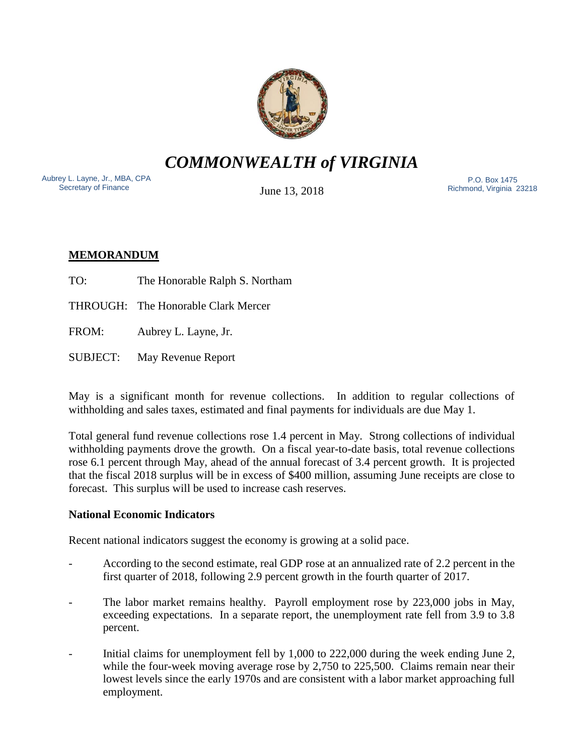

*COMMONWEALTH of VIRGINIA*

Aubrey L. Layne, Jr., MBA, CPA Secretary of Finance

June 13, 2018

 P.O. Box 1475 Richmond, Virginia 23218

# **MEMORANDUM**

- TO: The Honorable Ralph S. Northam
- THROUGH: The Honorable Clark Mercer
- FROM: Aubrey L. Layne, Jr.
- SUBJECT: May Revenue Report

May is a significant month for revenue collections. In addition to regular collections of withholding and sales taxes, estimated and final payments for individuals are due May 1.

Total general fund revenue collections rose 1.4 percent in May. Strong collections of individual withholding payments drove the growth. On a fiscal year-to-date basis, total revenue collections rose 6.1 percent through May, ahead of the annual forecast of 3.4 percent growth. It is projected that the fiscal 2018 surplus will be in excess of \$400 million, assuming June receipts are close to forecast. This surplus will be used to increase cash reserves.

## **National Economic Indicators**

Recent national indicators suggest the economy is growing at a solid pace.

- According to the second estimate, real GDP rose at an annualized rate of 2.2 percent in the first quarter of 2018, following 2.9 percent growth in the fourth quarter of 2017.
- The labor market remains healthy. Payroll employment rose by 223,000 jobs in May, exceeding expectations. In a separate report, the unemployment rate fell from 3.9 to 3.8 percent.
- Initial claims for unemployment fell by 1,000 to 222,000 during the week ending June 2, while the four-week moving average rose by 2,750 to 225,500. Claims remain near their lowest levels since the early 1970s and are consistent with a labor market approaching full employment.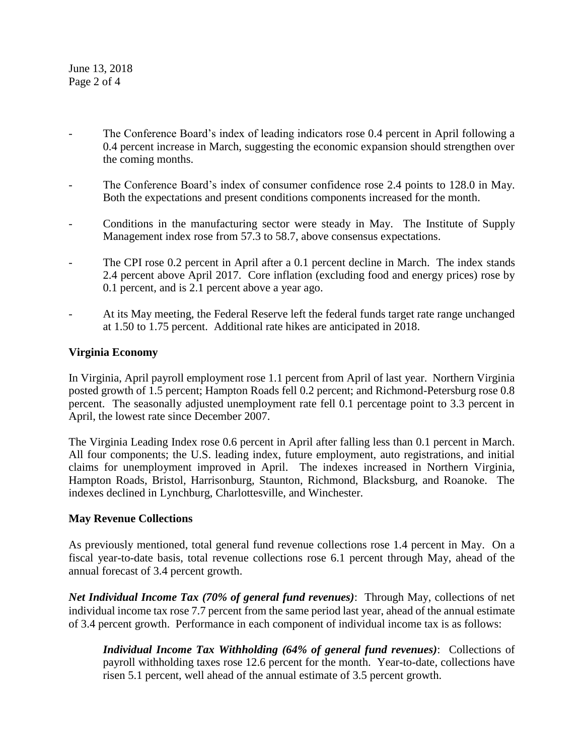June 13, 2018 Page 2 of 4

- The Conference Board's index of leading indicators rose 0.4 percent in April following a 0.4 percent increase in March, suggesting the economic expansion should strengthen over the coming months.
- The Conference Board's index of consumer confidence rose 2.4 points to 128.0 in May. Both the expectations and present conditions components increased for the month.
- Conditions in the manufacturing sector were steady in May. The Institute of Supply Management index rose from 57.3 to 58.7, above consensus expectations.
- The CPI rose 0.2 percent in April after a 0.1 percent decline in March. The index stands 2.4 percent above April 2017. Core inflation (excluding food and energy prices) rose by 0.1 percent, and is 2.1 percent above a year ago.
- At its May meeting, the Federal Reserve left the federal funds target rate range unchanged at 1.50 to 1.75 percent. Additional rate hikes are anticipated in 2018.

#### **Virginia Economy**

In Virginia, April payroll employment rose 1.1 percent from April of last year. Northern Virginia posted growth of 1.5 percent; Hampton Roads fell 0.2 percent; and Richmond-Petersburg rose 0.8 percent. The seasonally adjusted unemployment rate fell 0.1 percentage point to 3.3 percent in April, the lowest rate since December 2007.

The Virginia Leading Index rose 0.6 percent in April after falling less than 0.1 percent in March. All four components; the U.S. leading index, future employment, auto registrations, and initial claims for unemployment improved in April. The indexes increased in Northern Virginia, Hampton Roads, Bristol, Harrisonburg, Staunton, Richmond, Blacksburg, and Roanoke. The indexes declined in Lynchburg, Charlottesville, and Winchester.

#### **May Revenue Collections**

As previously mentioned, total general fund revenue collections rose 1.4 percent in May. On a fiscal year-to-date basis, total revenue collections rose 6.1 percent through May, ahead of the annual forecast of 3.4 percent growth.

*Net Individual Income Tax (70% of general fund revenues)*: Through May, collections of net individual income tax rose 7.7 percent from the same period last year, ahead of the annual estimate of 3.4 percent growth. Performance in each component of individual income tax is as follows:

*Individual Income Tax Withholding (64% of general fund revenues)*: Collections of payroll withholding taxes rose 12.6 percent for the month. Year-to-date, collections have risen 5.1 percent, well ahead of the annual estimate of 3.5 percent growth.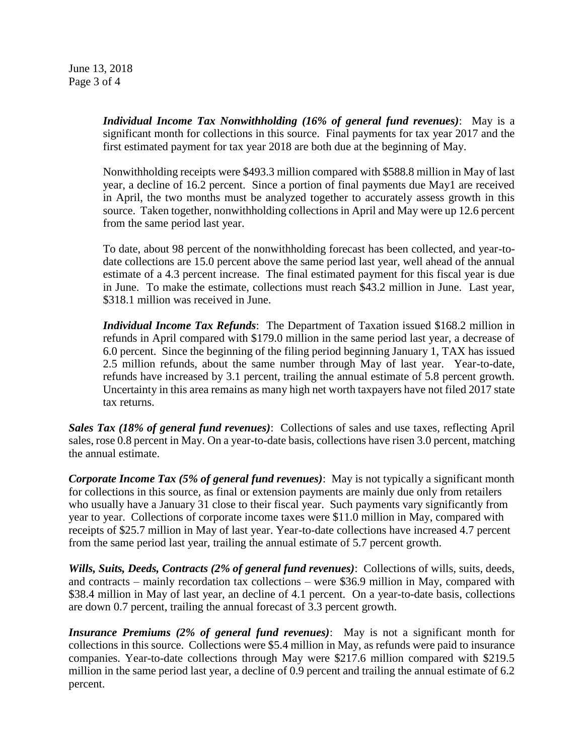June 13, 2018 Page 3 of 4

> *Individual Income Tax Nonwithholding (16% of general fund revenues)*: May is a significant month for collections in this source. Final payments for tax year 2017 and the first estimated payment for tax year 2018 are both due at the beginning of May.

> Nonwithholding receipts were \$493.3 million compared with \$588.8 million in May of last year, a decline of 16.2 percent. Since a portion of final payments due May1 are received in April, the two months must be analyzed together to accurately assess growth in this source. Taken together, nonwithholding collections in April and May were up 12.6 percent from the same period last year.

> To date, about 98 percent of the nonwithholding forecast has been collected, and year-todate collections are 15.0 percent above the same period last year, well ahead of the annual estimate of a 4.3 percent increase. The final estimated payment for this fiscal year is due in June. To make the estimate, collections must reach \$43.2 million in June. Last year, \$318.1 million was received in June.

> *Individual Income Tax Refunds*: The Department of Taxation issued \$168.2 million in refunds in April compared with \$179.0 million in the same period last year, a decrease of 6.0 percent. Since the beginning of the filing period beginning January 1, TAX has issued 2.5 million refunds, about the same number through May of last year. Year-to-date, refunds have increased by 3.1 percent, trailing the annual estimate of 5.8 percent growth. Uncertainty in this area remains as many high net worth taxpayers have not filed 2017 state tax returns.

*Sales Tax (18% of general fund revenues)*: Collections of sales and use taxes, reflecting April sales, rose 0.8 percent in May. On a year-to-date basis, collections have risen 3.0 percent, matching the annual estimate.

*Corporate Income Tax (5% of general fund revenues)*: May is not typically a significant month for collections in this source, as final or extension payments are mainly due only from retailers who usually have a January 31 close to their fiscal year. Such payments vary significantly from year to year. Collections of corporate income taxes were \$11.0 million in May, compared with receipts of \$25.7 million in May of last year. Year-to-date collections have increased 4.7 percent from the same period last year, trailing the annual estimate of 5.7 percent growth.

*Wills, Suits, Deeds, Contracts (2% of general fund revenues)*: Collections of wills, suits, deeds, and contracts – mainly recordation tax collections – were \$36.9 million in May, compared with \$38.4 million in May of last year, an decline of 4.1 percent. On a year-to-date basis, collections are down 0.7 percent, trailing the annual forecast of 3.3 percent growth.

*Insurance Premiums (2% of general fund revenues)*: May is not a significant month for collections in this source. Collections were \$5.4 million in May, as refunds were paid to insurance companies. Year-to-date collections through May were \$217.6 million compared with \$219.5 million in the same period last year, a decline of 0.9 percent and trailing the annual estimate of 6.2 percent.